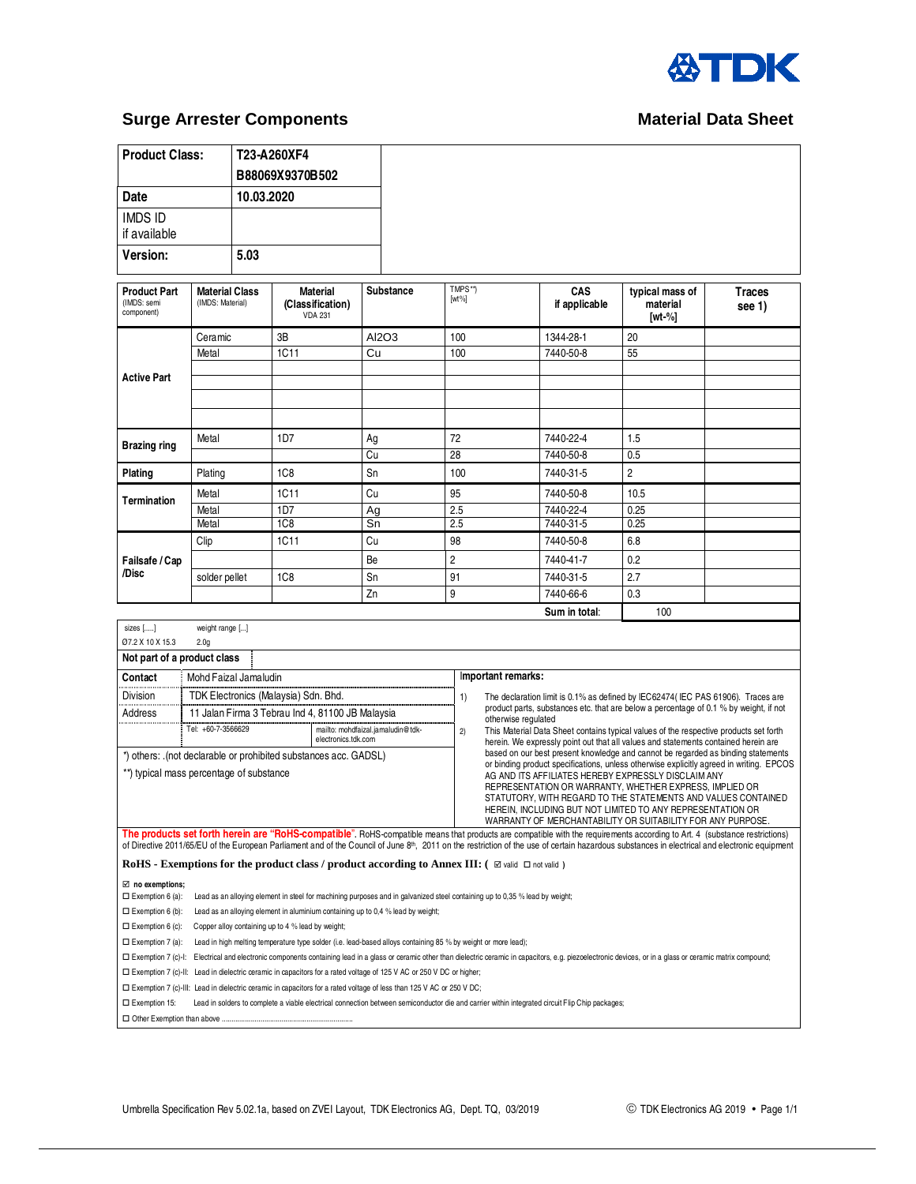

## **Surge Arrester Components** Material Data Sheet

| <b>Product Class:</b>                                                                                                  |                                           | T23-A260XF4                                           |                                                                                 |           |                                                                                                                                                                                                                                                                                                                                                                                         |                      |                                                                                                                                                                             |                                                                                         |
|------------------------------------------------------------------------------------------------------------------------|-------------------------------------------|-------------------------------------------------------|---------------------------------------------------------------------------------|-----------|-----------------------------------------------------------------------------------------------------------------------------------------------------------------------------------------------------------------------------------------------------------------------------------------------------------------------------------------------------------------------------------------|----------------------|-----------------------------------------------------------------------------------------------------------------------------------------------------------------------------|-----------------------------------------------------------------------------------------|
|                                                                                                                        |                                           | B88069X9370B502                                       |                                                                                 |           |                                                                                                                                                                                                                                                                                                                                                                                         |                      |                                                                                                                                                                             |                                                                                         |
| <b>Date</b><br>10.03.2020                                                                                              |                                           |                                                       |                                                                                 |           |                                                                                                                                                                                                                                                                                                                                                                                         |                      |                                                                                                                                                                             |                                                                                         |
| <b>IMDS ID</b><br>if available                                                                                         |                                           |                                                       |                                                                                 |           |                                                                                                                                                                                                                                                                                                                                                                                         |                      |                                                                                                                                                                             |                                                                                         |
| <b>Version:</b>                                                                                                        | 5.03                                      |                                                       |                                                                                 |           |                                                                                                                                                                                                                                                                                                                                                                                         |                      |                                                                                                                                                                             |                                                                                         |
|                                                                                                                        |                                           |                                                       |                                                                                 |           |                                                                                                                                                                                                                                                                                                                                                                                         |                      |                                                                                                                                                                             |                                                                                         |
| <b>Product Part</b><br>(IMDS: semi<br>component)                                                                       | <b>Material Class</b><br>(IMDS: Material) | <b>Material</b><br>(Classification)<br><b>VDA 231</b> |                                                                                 | Substance | TMPS**)<br>$[wt\%]$                                                                                                                                                                                                                                                                                                                                                                     | CAS<br>if applicable | typical mass of<br>material<br>$[wt-%]$                                                                                                                                     | <b>Traces</b><br>see 1)                                                                 |
|                                                                                                                        | Ceramic                                   | 3B                                                    |                                                                                 | AI2O3     | 100                                                                                                                                                                                                                                                                                                                                                                                     | 1344-28-1            | 20                                                                                                                                                                          |                                                                                         |
|                                                                                                                        | Metal                                     | 1C11                                                  | Cu                                                                              |           | 100                                                                                                                                                                                                                                                                                                                                                                                     | 7440-50-8            | 55                                                                                                                                                                          |                                                                                         |
|                                                                                                                        |                                           |                                                       |                                                                                 |           |                                                                                                                                                                                                                                                                                                                                                                                         |                      |                                                                                                                                                                             |                                                                                         |
| <b>Active Part</b>                                                                                                     |                                           |                                                       |                                                                                 |           |                                                                                                                                                                                                                                                                                                                                                                                         |                      |                                                                                                                                                                             |                                                                                         |
|                                                                                                                        |                                           |                                                       |                                                                                 |           |                                                                                                                                                                                                                                                                                                                                                                                         |                      |                                                                                                                                                                             |                                                                                         |
|                                                                                                                        |                                           |                                                       |                                                                                 |           |                                                                                                                                                                                                                                                                                                                                                                                         |                      |                                                                                                                                                                             |                                                                                         |
|                                                                                                                        | Metal                                     | 1D7                                                   | Ag                                                                              |           | 72                                                                                                                                                                                                                                                                                                                                                                                      | 7440-22-4            | 1.5                                                                                                                                                                         |                                                                                         |
| Brazing ring                                                                                                           |                                           |                                                       | Cu                                                                              |           | $\overline{28}$                                                                                                                                                                                                                                                                                                                                                                         | 7440-50-8            | 0.5                                                                                                                                                                         |                                                                                         |
| Plating                                                                                                                | Plating                                   | 1C <sub>8</sub>                                       | Sn                                                                              |           | 100                                                                                                                                                                                                                                                                                                                                                                                     | 7440-31-5            | 2                                                                                                                                                                           |                                                                                         |
|                                                                                                                        | Metal                                     | 1C11                                                  | Cu                                                                              |           | 95                                                                                                                                                                                                                                                                                                                                                                                      | 7440-50-8            | 10.5                                                                                                                                                                        |                                                                                         |
| <b>Termination</b>                                                                                                     | Metal                                     | 1D7                                                   | Ag                                                                              |           | 2.5                                                                                                                                                                                                                                                                                                                                                                                     | 7440-22-4            | 0.25                                                                                                                                                                        |                                                                                         |
|                                                                                                                        | Metal                                     | 1C8                                                   | Sn                                                                              |           | 2.5                                                                                                                                                                                                                                                                                                                                                                                     | 7440-31-5            | 0.25                                                                                                                                                                        |                                                                                         |
|                                                                                                                        | Clip                                      | 1C11                                                  | Cu                                                                              |           | 98                                                                                                                                                                                                                                                                                                                                                                                      | 7440-50-8            | 6.8                                                                                                                                                                         |                                                                                         |
| Failsafe / Cap                                                                                                         |                                           |                                                       | Be                                                                              |           | 2                                                                                                                                                                                                                                                                                                                                                                                       | 7440-41-7            | 0.2                                                                                                                                                                         |                                                                                         |
| /Disc                                                                                                                  | solder pellet                             | 1C <sub>8</sub>                                       | Sn                                                                              |           | 91                                                                                                                                                                                                                                                                                                                                                                                      | 7440-31-5            | 2.7                                                                                                                                                                         |                                                                                         |
|                                                                                                                        |                                           |                                                       | Zn                                                                              |           | 9                                                                                                                                                                                                                                                                                                                                                                                       | 7440-66-6            | 0.3                                                                                                                                                                         |                                                                                         |
|                                                                                                                        |                                           |                                                       |                                                                                 |           |                                                                                                                                                                                                                                                                                                                                                                                         |                      |                                                                                                                                                                             |                                                                                         |
|                                                                                                                        |                                           |                                                       |                                                                                 |           |                                                                                                                                                                                                                                                                                                                                                                                         |                      |                                                                                                                                                                             |                                                                                         |
|                                                                                                                        |                                           |                                                       |                                                                                 |           |                                                                                                                                                                                                                                                                                                                                                                                         | Sum in total:        | 100                                                                                                                                                                         |                                                                                         |
| sizes []<br>07.2 X 10 X 15.3                                                                                           | weight range []<br>2.0 <sub>g</sub>       |                                                       |                                                                                 |           |                                                                                                                                                                                                                                                                                                                                                                                         |                      |                                                                                                                                                                             |                                                                                         |
| Not part of a product class                                                                                            |                                           |                                                       |                                                                                 |           |                                                                                                                                                                                                                                                                                                                                                                                         |                      |                                                                                                                                                                             |                                                                                         |
| Contact                                                                                                                | Mohd Faizal Jamaludin                     |                                                       |                                                                                 |           | Important remarks:                                                                                                                                                                                                                                                                                                                                                                      |                      |                                                                                                                                                                             |                                                                                         |
|                                                                                                                        |                                           |                                                       |                                                                                 |           |                                                                                                                                                                                                                                                                                                                                                                                         |                      |                                                                                                                                                                             |                                                                                         |
| Division                                                                                                               |                                           | TDK Electronics (Malaysia) Sdn. Bhd.                  |                                                                                 |           | 1)                                                                                                                                                                                                                                                                                                                                                                                      |                      | The declaration limit is 0.1% as defined by IEC62474(IEC PAS 61906). Traces are<br>product parts, substances etc. that are below a percentage of 0.1 % by weight, if not    |                                                                                         |
| Address                                                                                                                | Tel: +60-7-3566629                        |                                                       | 11 Jalan Firma 3 Tebrau Ind 4, 81100 JB Malaysia                                |           | otherwise regulated                                                                                                                                                                                                                                                                                                                                                                     |                      |                                                                                                                                                                             |                                                                                         |
|                                                                                                                        |                                           |                                                       | mailto: mohdfaizal.jamaludin@tdk-<br>electronics.tdk.com                        |           | 2)                                                                                                                                                                                                                                                                                                                                                                                      |                      | This Material Data Sheet contains typical values of the respective products set forth<br>herein. We expressly point out that all values and statements contained herein are |                                                                                         |
| *) others: .(not declarable or prohibited substances acc. GADSL)                                                       |                                           |                                                       |                                                                                 |           |                                                                                                                                                                                                                                                                                                                                                                                         |                      | based on our best present knowledge and cannot be regarded as binding statements                                                                                            |                                                                                         |
| **) typical mass percentage of substance                                                                               |                                           |                                                       |                                                                                 |           |                                                                                                                                                                                                                                                                                                                                                                                         |                      | AG AND ITS AFFILIATES HEREBY EXPRESSLY DISCLAIM ANY                                                                                                                         | or binding product specifications, unless otherwise explicitly agreed in writing. EPCOS |
|                                                                                                                        |                                           |                                                       |                                                                                 |           |                                                                                                                                                                                                                                                                                                                                                                                         |                      | REPRESENTATION OR WARRANTY, WHETHER EXPRESS, IMPLIED OR                                                                                                                     |                                                                                         |
|                                                                                                                        |                                           |                                                       |                                                                                 |           |                                                                                                                                                                                                                                                                                                                                                                                         |                      | STATUTORY, WITH REGARD TO THE STATEMENTS AND VALUES CONTAINED<br>HEREIN, INCLUDING BUT NOT LIMITED TO ANY REPRESENTATION OR                                                 |                                                                                         |
|                                                                                                                        |                                           |                                                       |                                                                                 |           |                                                                                                                                                                                                                                                                                                                                                                                         |                      | WARRANTY OF MERCHANTABILITY OR SUITABILITY FOR ANY PURPOSE.                                                                                                                 |                                                                                         |
|                                                                                                                        |                                           |                                                       |                                                                                 |           | The products set forth herein are "RoHS-compatible". RoHS-compatible means that products are compatible with the requirements according to Art. 4 (substance restrictions)<br>of Directive 2011/65/EU of the European Parliament and of the Council of June 8 <sup>th</sup> , 2011 on the restriction of the use of certain hazardous substances in electrical and electronic equipment |                      |                                                                                                                                                                             |                                                                                         |
|                                                                                                                        |                                           |                                                       |                                                                                 |           | <b>RoHS</b> - <b>Exemptions for the product class / product according to Annex III: ( <math>\boxtimes</math> valid <math>\Box</math> not valid )</b>                                                                                                                                                                                                                                    |                      |                                                                                                                                                                             |                                                                                         |
| $\boxtimes$ no exemptions;                                                                                             |                                           |                                                       |                                                                                 |           |                                                                                                                                                                                                                                                                                                                                                                                         |                      |                                                                                                                                                                             |                                                                                         |
| $\square$ Exemption 6 (a):                                                                                             |                                           |                                                       |                                                                                 |           | Lead as an alloying element in steel for machining purposes and in galvanized steel containing up to 0,35 % lead by weight;                                                                                                                                                                                                                                                             |                      |                                                                                                                                                                             |                                                                                         |
| $\square$ Exemption 6 (b):                                                                                             |                                           |                                                       | Lead as an alloying element in aluminium containing up to 0,4 % lead by weight; |           |                                                                                                                                                                                                                                                                                                                                                                                         |                      |                                                                                                                                                                             |                                                                                         |
| $\square$ Exemption 6 (c):                                                                                             |                                           | Copper alloy containing up to 4 % lead by weight;     |                                                                                 |           |                                                                                                                                                                                                                                                                                                                                                                                         |                      |                                                                                                                                                                             |                                                                                         |
| $\square$ Exemption 7 (a):                                                                                             |                                           |                                                       |                                                                                 |           | Lead in high melting temperature type solder (i.e. lead-based alloys containing 85 % by weight or more lead);<br>□ Exemption 7 (c)-l: Electrical and electronic components containing lead in a glass or ceramic other than dielectric ceramic in capacitors, e.g. piezoelectronic devices, or in a glass or ceramic matrix compound;                                                   |                      |                                                                                                                                                                             |                                                                                         |
| □ Exemption 7 (c)-II: Lead in dielectric ceramic in capacitors for a rated voltage of 125 V AC or 250 V DC or higher;  |                                           |                                                       |                                                                                 |           |                                                                                                                                                                                                                                                                                                                                                                                         |                      |                                                                                                                                                                             |                                                                                         |
| □ Exemption 7 (c)-III: Lead in dielectric ceramic in capacitors for a rated voltage of less than 125 V AC or 250 V DC; |                                           |                                                       |                                                                                 |           |                                                                                                                                                                                                                                                                                                                                                                                         |                      |                                                                                                                                                                             |                                                                                         |
| $\square$ Exemption 15:                                                                                                |                                           |                                                       |                                                                                 |           | Lead in solders to complete a viable electrical connection between semiconductor die and carrier within integrated circuit Flip Chip packages;                                                                                                                                                                                                                                          |                      |                                                                                                                                                                             |                                                                                         |